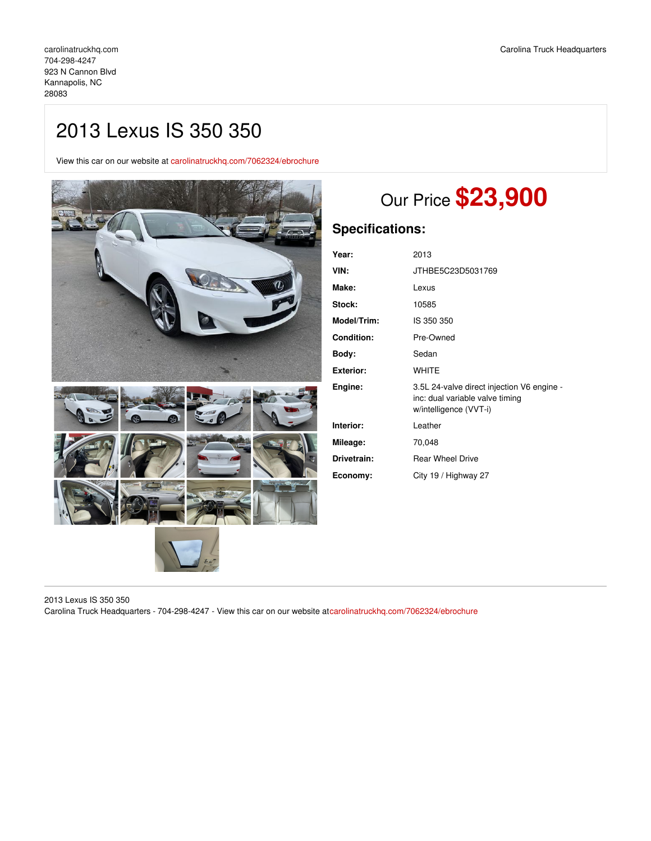# 2013 Lexus IS 350 350

View this car on our website at [carolinatruckhq.com/7062324/ebrochure](https://carolinatruckhq.com/vehicle/7062324/2013-lexus-is-350-350-kannapolis-nc-28083/7062324/ebrochure)



# Our Price **\$23,900**

## **Specifications:**

| Year:             | 2013                                                                                                    |
|-------------------|---------------------------------------------------------------------------------------------------------|
| VIN:              | JTHBE5C23D5031769                                                                                       |
| Make:             | Lexus                                                                                                   |
| Stock:            | 10585                                                                                                   |
| Model/Trim:       | IS 350 350                                                                                              |
| <b>Condition:</b> | Pre-Owned                                                                                               |
| Body:             | Sedan                                                                                                   |
| <b>Exterior:</b>  | <b>WHITE</b>                                                                                            |
| Engine:           | 3.5L 24-valve direct injection V6 engine -<br>inc: dual variable valve timing<br>w/intelligence (VVT-i) |
| Interior:         | Leather                                                                                                 |
| Mileage:          | 70,048                                                                                                  |
| Drivetrain:       | <b>Rear Wheel Drive</b>                                                                                 |
| Economy:          | City 19 / Highway 27                                                                                    |

2013 Lexus IS 350 350 Carolina Truck Headquarters - 704-298-4247 - View this car on our website at[carolinatruckhq.com/7062324/ebrochure](https://carolinatruckhq.com/vehicle/7062324/2013-lexus-is-350-350-kannapolis-nc-28083/7062324/ebrochure)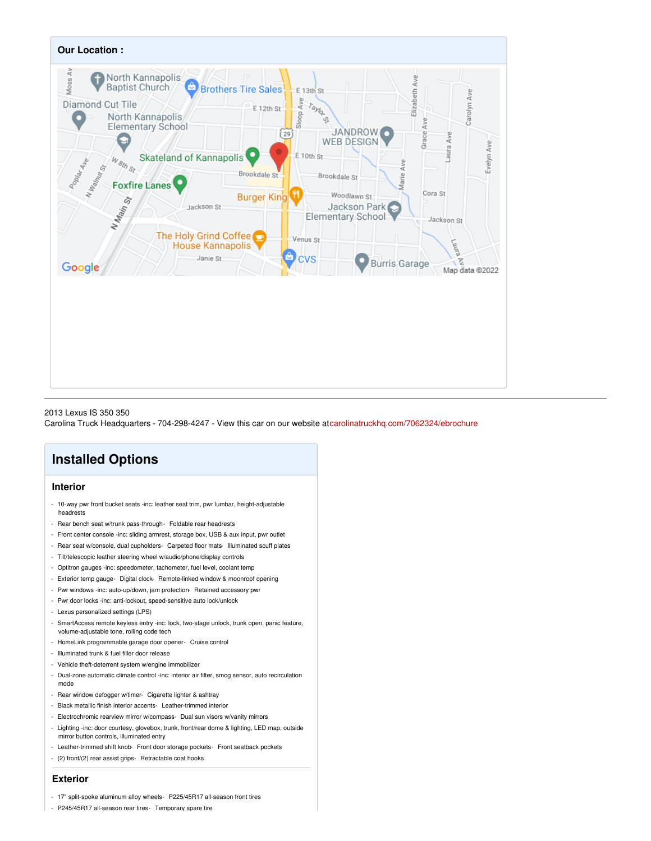

#### 2013 Lexus IS 350 350

Carolina Truck Headquarters - 704-298-4247 - View this car on our website at[carolinatruckhq.com/7062324/ebrochure](https://carolinatruckhq.com/vehicle/7062324/2013-lexus-is-350-350-kannapolis-nc-28083/7062324/ebrochure)

## **Installed Options**

## **Interior**

- 10-way pwr front bucket seats -inc: leather seat trim, pwr lumbar, height-adjustable headrests
- Rear bench seat w/trunk pass-through- Foldable rear headrests
- Front center console -inc: sliding armrest, storage box, USB & aux input, pwr outlet
- Rear seat w/console, dual cupholders- Carpeted floor mats- Illuminated scuff plates
- Tilt/telescopic leather steering wheel w/audio/phone/display controls
- Optitron gauges -inc: speedometer, tachometer, fuel level, coolant temp
- Exterior temp gauge- Digital clock- Remote-linked window & moonroof opening
- Pwr windows -inc: auto-up/down, jam protection- Retained accessory pwr
- Pwr door locks -inc: anti-lockout, speed-sensitive auto lock/unlock
- Lexus personalized settings (LPS)
- SmartAccess remote keyless entry -inc: lock, two-stage unlock, trunk open, panic feature, volume-adjustable tone, rolling code tech
- HomeLink programmable garage door opener- Cruise control
- Illuminated trunk & fuel filler door release
- Vehicle theft-deterrent system w/engine immobilizer
- Dual-zone automatic climate control -inc: interior air filter, smog sensor, auto recirculation mode
- Rear window defogger w/timer- Cigarette lighter & ashtray
- Black metallic finish interior accents- Leather-trimmed interior
- Electrochromic rearview mirror w/compass- Dual sun visors w/vanity mirrors
- Lighting -inc: door courtesy, glovebox, trunk, front/rear dome & lighting, LED map, outside mirror button controls, illuminated entry
- Leather-trimmed shift knob- Front door storage pockets- Front seatback pockets
- (2) front/(2) rear assist grips- Retractable coat hooks

### **Exterior**

- 17" split-spoke aluminum alloy wheels- P225/45R17 all-season front tires
- P245/45R17 all-season rear tires- Temporary spare tire